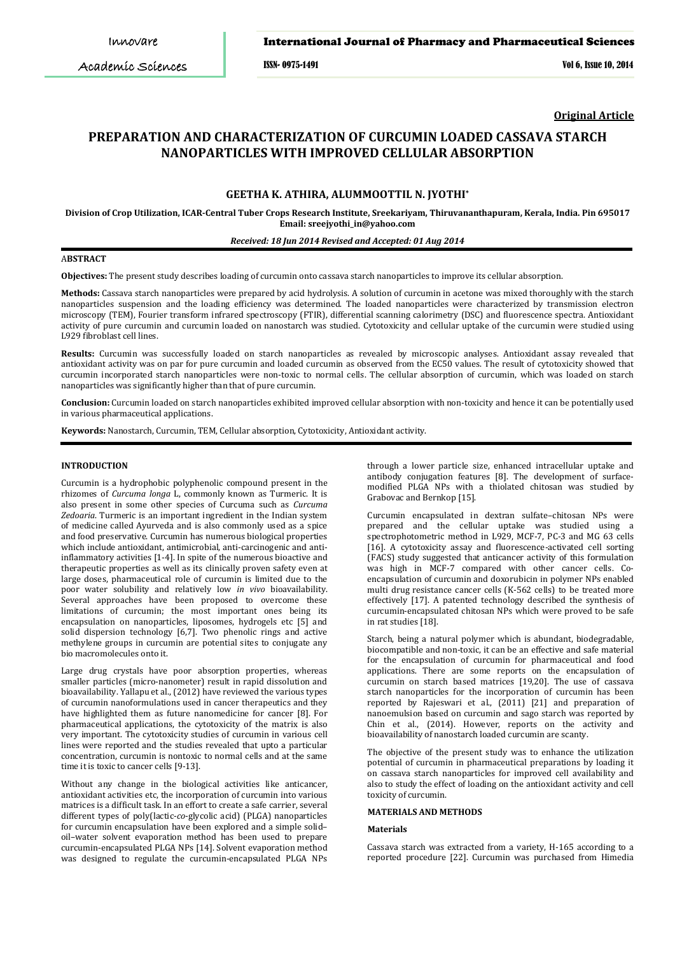Academic Sciences

ISSN- 0975-1491 Vol 6, Issue 10, 2014

**Original Article**

# **PREPARATION AND CHARACTERIZATION OF CURCUMIN LOADED CASSAVA STARCH NANOPARTICLES WITH IMPROVED CELLULAR ABSORPTION**

## **GEETHA K. ATHIRA, ALUMMOOTTIL N. JYOTHI \***

**Division of Crop Utilization, ICAR-Central Tuber Crops Research Institute, Sreekariyam, Thiruvananthapuram, Kerala, India. Pin 695017 Email: sreejyothi\_in@yahoo.com**

## *Received: 18 Jun 2014 Revised and Accepted: 01 Aug 2014*

## A**BSTRACT**

**Objectives:** The present study describes loading of curcumin onto cassava starch nanoparticles to improve its cellular absorption.

**Methods:** Cassava starch nanoparticles were prepared by acid hydrolysis. A solution of curcumin in acetone was mixed thoroughly with the starch nanoparticles suspension and the loading efficiency was determined. The loaded nanoparticles were characterized by transmission electron microscopy (TEM), Fourier transform infrared spectroscopy (FTIR), differential scanning calorimetry (DSC) and fluorescence spectra. Antioxidant activity of pure curcumin and curcumin loaded on nanostarch was studied. Cytotoxicity and cellular uptake of the curcumin were studied using L929 fibroblast cell lines.

**Results:** Curcumin was successfully loaded on starch nanoparticles as revealed by microscopic analyses. Antioxidant assay revealed that antioxidant activity was on par for pure curcumin and loaded curcumin as observed from the EC50 values. The result of cytotoxicity showed that curcumin incorporated starch nanoparticles were non-toxic to normal cells. The cellular absorption of curcumin, which was loaded on starch nanoparticles was significantly higher than that of pure curcumin.

**Conclusion:** Curcumin loaded on starch nanoparticles exhibited improved cellular absorption with non-toxicity and hence it can be potentially used in various pharmaceutical applications.

**Keywords:** Nanostarch, Curcumin, TEM, Cellular absorption, Cytotoxicity, Antioxidant activity.

## **INTRODUCTION**

Curcumin is a hydrophobic polyphenolic compound present in the rhizomes of *Curcuma longa* L, commonly known as Turmeric. It is also present in some other species of Curcuma such as *Curcuma Zedoaria*. Turmeric is an important ingredient in the Indian system of medicine called Ayurveda and is also commonly used as a spice and food preservative. Curcumin has numerous biological properties which include antioxidant, antimicrobial, anti-carcinogenic and antiinflammatory activities [1-4]. In spite of the numerous bioactive and therapeutic properties as well as its clinically proven safety even at large doses, pharmaceutical role of curcumin is limited due to the poor water solubility and relatively low *in vivo* bioavailability. Several approaches have been proposed to overcome these limitations of curcumin; the most important ones being its encapsulation on nanoparticles, liposomes, hydrogels etc [5] and solid dispersion technology [6,7]. Two phenolic rings and active methylene groups in curcumin are potential sites to conjugate any bio macromolecules onto it.

Large drug crystals have poor absorption properties, whereas smaller particles (micro-nanometer) result in rapid dissolution and bioavailability. Yallapu et al., (2012) have reviewed the various types of curcumin nanoformulations used in cancer therapeutics and they have highlighted them as future nanomedicine for cancer [8]. For pharmaceutical applications, the cytotoxicity of the matrix is also very important. The cytotoxicity studies of curcumin in various cell lines were reported and the studies revealed that upto a particular concentration, curcumin is nontoxic to normal cells and at the same time it is toxic to cancer cells [9-13].

Without any change in the biological activities like anticancer, antioxidant activities etc, the incorporation of curcumin into various matrices is a difficult task. In an effort to create a safe carrier, several different types of poly(lactic-*co*-glycolic acid) (PLGA) nanoparticles for curcumin encapsulation have been explored and a simple solid– oil–water solvent evaporation method has been used to prepare curcumin-encapsulated PLGA NPs [14]. Solvent evaporation method was designed to regulate the curcumin-encapsulated PLGA NPs through a lower particle size, enhanced intracellular uptake and antibody conjugation features [8]. The development of surfacemodified PLGA NPs with a thiolated chitosan was studied by Grabovac and Bernkop [15].

Curcumin encapsulated in dextran sulfate–chitosan NPs were prepared and the cellular uptake was studied using a spectrophotometric method in L929, MCF-7, PC-3 and MG 63 cells [16]. A cytotoxicity assay and fluorescence-activated cell sorting (FACS) study suggested that anticancer activity of this formulation was high in MCF-7 compared with other cancer cells. Coencapsulation of curcumin and doxorubicin in polymer NPs enabled multi drug resistance cancer cells (K-562 cells) to be treated more effectively [17]. A patented technology described the synthesis of curcumin-encapsulated chitosan NPs which were proved to be safe in rat studies [18].

Starch, being a natural polymer which is abundant, biodegradable, biocompatible and non-toxic, it can be an effective and safe material for the encapsulation of curcumin for pharmaceutical and food applications. There are some reports on the encapsulation of curcumin on starch based matrices [19,20]. The use of cassava starch nanoparticles for the incorporation of curcumin has been reported by Rajeswari et al., (2011) [21] and preparation of nanoemulsion based on curcumin and sago starch was reported by Chin et al., (2014). However, reports on the activity and bioavailability of nanostarch loaded curcumin are scanty.

The objective of the present study was to enhance the utilization potential of curcumin in pharmaceutical preparations by loading it on cassava starch nanoparticles for improved cell availability and also to study the effect of loading on the antioxidant activity and cell toxicity of curcumin.

## **MATERIALS AND METHODS**

#### **Materials**

Cassava starch was extracted from a variety, H-165 according to a reported procedure [22]. Curcumin was purchased from Himedia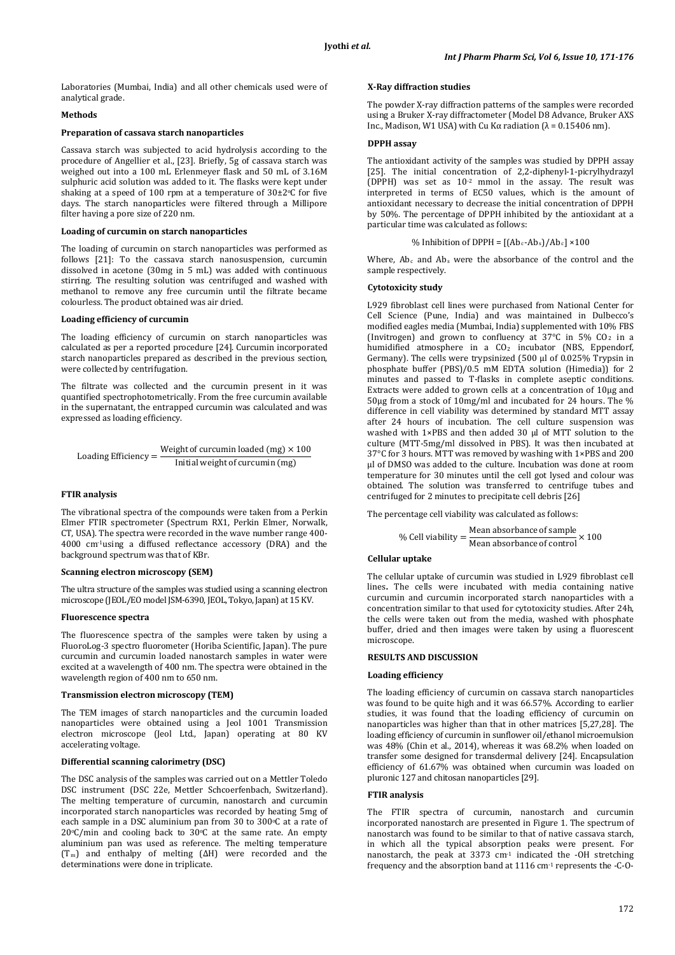Laboratories (Mumbai, India) and all other chemicals used were of analytical grade.

## **Methods**

## **Preparation of cassava starch nanoparticles**

Cassava starch was subjected to acid hydrolysis according to the procedure of Angellier et al., [23]. Briefly, 5g of cassava starch was weighed out into a 100 mL Erlenmeyer flask and 50 mL of 3.16M sulphuric acid solution was added to it. The flasks were kept under shaking at a speed of 100 rpm at a temperature of 30±2o C for five days. The starch nanoparticles were filtered through a Millipore filter having a pore size of 220 nm.

## **Loading of curcumin on starch nanoparticles**

The loading of curcumin on starch nanoparticles was performed as follows [21]: To the cassava starch nanosuspension, curcumin dissolved in acetone (30mg in 5 mL) was added with continuous stirring. The resulting solution was centrifuged and washed with methanol to remove any free curcumin until the filtrate became colourless. The product obtained was air dried.

### **Loading efficiency of curcumin**

The loading efficiency of curcumin on starch nanoparticles was calculated as per a reported procedure [24]. Curcumin incorporated starch nanoparticles prepared as described in the previous section, were collected by centrifugation.

The filtrate was collected and the curcumin present in it was quantified spectrophotometrically. From the free curcumin available in the supernatant, the entrapped curcumin was calculated and was expressed as loading efficiency.

$$
Loading Efficiency = \frac{Weight of curcumin loaded (mg) \times 100}{Initial weight of curcumin (mg)}
$$

#### **FTIR analysis**

The vibrational spectra of the compounds were taken from a Perkin Elmer FTIR spectrometer (Spectrum RX1, Perkin Elmer, Norwalk, CT, USA). The spectra were recorded in the wave number range 400- 4000 cm-1 using a diffused reflectance accessory (DRA) and the background spectrum was that of KBr.

#### **Scanning electron microscopy (SEM)**

The ultra structure of the samples was studied using a scanning electron microscope (JEOL/EO model JSM-6390, JEOL, Tokyo, Japan) at 15 KV.

## **Fluorescence spectra**

The fluorescence spectra of the samples were taken by using a FluoroLog-3 spectro fluorometer (Horiba Scientific, Japan). The pure curcumin and curcumin loaded nanostarch samples in water were excited at a wavelength of 400 nm. The spectra were obtained in the wavelength region of 400 nm to 650 nm.

#### **Transmission electron microscopy (TEM)**

The TEM images of starch nanoparticles and the curcumin loaded nanoparticles were obtained using a Jeol 1001 Transmission electron microscope (Jeol Ltd., Japan) operating at 80 KV accelerating voltage.

## **Differential scanning calorimetry (DSC)**

The DSC analysis of the samples was carried out on a Mettler Toledo DSC instrument (DSC 22e, Mettler Schcoerfenbach, Switzerland). The melting temperature of curcumin, nanostarch and curcumin incorporated starch nanoparticles was recorded by heating 5mg of each sample in a DSC aluminium pan from 30 to 300°C at a rate of  $20°C/min$  and cooling back to  $30°C$  at the same rate. An empty aluminium pan was used as reference. The melting temperature (Tm ) and enthalpy of melting (ΔH) were recorded and the determinations were done in triplicate.

### **X-Ray diffraction studies**

The powder X-ray diffraction patterns of the samples were recorded using a Bruker X-ray diffractometer (Model D8 Advance, Bruker AXS Inc., Madison, W1 USA) with Cu Kα radiation ( $λ = 0.15406$  nm).

## **DPPH assay**

The antioxidant activity of the samples was studied by DPPH assay [25]. The initial concentration of 2,2-diphenyl-1-picrylhydrazyl  $(DPPH)$  was set as  $10<sup>-2</sup>$  mmol in the assay. The result was interpreted in terms of EC50 values, which is the amount of antioxidant necessary to decrease the initial concentration of DPPH by 50%. The percentage of DPPH inhibited by the antioxidant at a particular time was calculated as follows:

```
% Inhibition of DPPH = [(Ab<sub>c</sub>-Ab<sub>s</sub>)/Ab<sub>c</sub>] \times 100
```
Where,  $Ab<sub>c</sub>$  and  $Ab<sub>s</sub>$  were the absorbance of the control and the sample respectively.

#### **Cytotoxicity study**

L929 fibroblast cell lines were purchased from National Center for Cell Science (Pune, India) and was maintained in Dulbecco's modified eagles media (Mumbai, India) supplemented with 10% FBS (Invitrogen) and grown to confluency at  $37^{\circ}$ C in  $5\%$  CO<sub>2</sub> in a humidified atmosphere in a CO<sub>2</sub> incubator (NBS, Eppendorf, Germany). The cells were trypsinized (500 µl of 0.025% Trypsin in phosphate buffer (PBS)/0.5 mM EDTA solution (Himedia)) for 2 minutes and passed to T-flasks in complete aseptic conditions. Extracts were added to grown cells at a concentration of 10µg and 50µg from a stock of 10mg/ml and incubated for 24 hours. The % difference in cell viability was determined by standard MTT assay after 24 hours of incubation. The cell culture suspension was washed with 1×PBS and then added 30 µl of MTT solution to the culture (MTT-5mg/ml dissolved in PBS). It was then incubated at 37°C for 3 hours. MTT was removed by washing with 1×PBS and 200 µl of DMSO was added to the culture. Incubation was done at room temperature for 30 minutes until the cell got lysed and colour was obtained. The solution was transferred to centrifuge tubes and centrifuged for 2 minutes to precipitate cell debris [26]

The percentage cell viability was calculated as follows:

% Cell viability = 
$$
\frac{\text{Mean absorbance of sample}}{\text{Mean absorbance of control}} \times 100
$$

#### **Cellular uptake**

The cellular uptake of curcumin was studied in L929 fibroblast cell lines**.** The cells were incubated with media containing native curcumin and curcumin incorporated starch nanoparticles with a concentration similar to that used for cytotoxicity studies. After 24h, the cells were taken out from the media, washed with phosphate buffer, dried and then images were taken by using a fluorescent microscope.

### **RESULTS AND DISCUSSION**

#### **Loading efficiency**

The loading efficiency of curcumin on cassava starch nanoparticles was found to be quite high and it was 66.57%. According to earlier studies, it was found that the loading efficiency of curcumin on nanoparticles was higher than that in other matrices [5,27,28]. The loading efficiency of curcumin in sunflower oil/ethanol microemulsion was 48% (Chin et al., 2014), whereas it was 68.2% when loaded on transfer some designed for transdermal delivery [24]. Encapsulation efficiency of 61.67% was obtained when curcumin was loaded on pluronic 127 and chitosan nanoparticles [29].

#### **FTIR analysis**

The FTIR spectra of curcumin, nanostarch and curcumin incorporated nanostarch are presented in Figure 1. The spectrum of nanostarch was found to be similar to that of native cassava starch, in which all the typical absorption peaks were present. For nanostarch, the peak at 3373 cm-1 indicated the -OH stretching frequency and the absorption band at 1116 cm-1 represents the -C-O-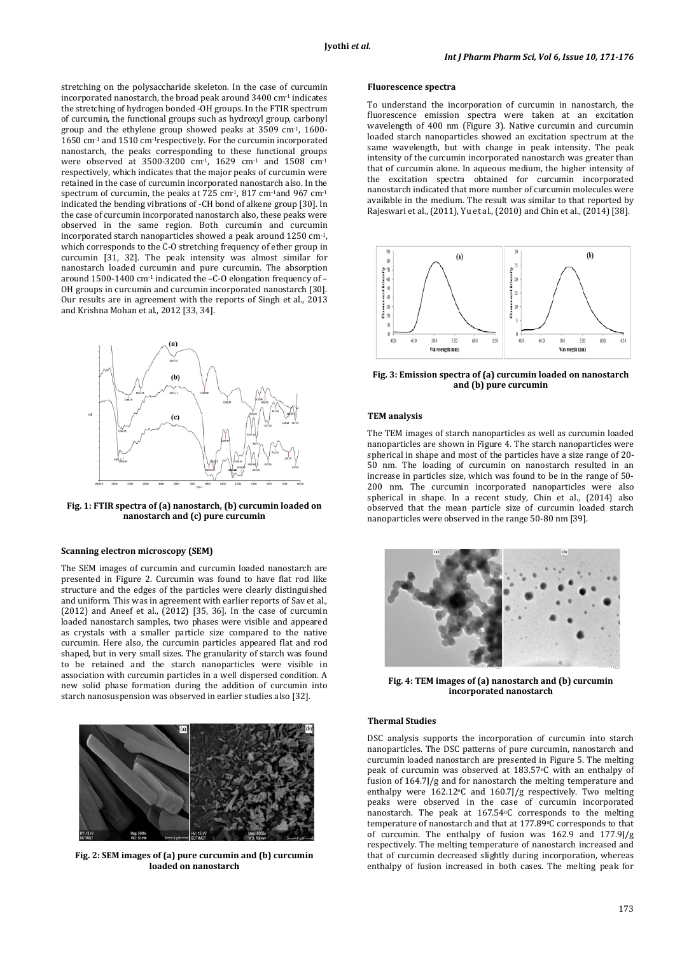stretching on the polysaccharide skeleton. In the case of curcumin incorporated nanostarch, the broad peak around 3400 cm-1 indicates the stretching of hydrogen bonded -OH groups. In the FTIR spectrum of curcumin, the functional groups such as hydroxyl group, carbonyl group and the ethylene group showed peaks at 3509 cm-1, 1600- 1650 cm-1 and 1510 cm-1respectively. For the curcumin incorporated nanostarch, the peaks corresponding to these functional groups were observed at 3500-3200 cm-1, 1629 cm-1 and 1508 cm-1 respectively, which indicates that the major peaks of curcumin were retained in the case of curcumin incorporated nanostarch also. In the spectrum of curcumin, the peaks at 725 cm<sup>-1</sup>, 817 cm<sup>-1</sup>and 967 cm<sup>-1</sup> indicated the bending vibrations of -CH bond of alkene group [30]. In the case of curcumin incorporated nanostarch also, these peaks were observed in the same region. Both curcumin and curcumin incorporated starch nanoparticles showed a peak around 1250 cm-1, which corresponds to the C-O stretching frequency of ether group in curcumin [31, 32]. The peak intensity was almost similar for nanostarch loaded curcumin and pure curcumin. The absorption around  $1500-1400$  cm<sup>-1</sup> indicated the  $-C$ -O elongation frequency of  $-$ OH groups in curcumin and curcumin incorporated nanostarch [30]. Our results are in agreement with the reports of Singh et al., 2013 and Krishna Mohan et al., 2012 [33, 34].



**Fig. 1: FTIR spectra of (a) nanostarch, (b) curcumin loaded on nanostarch and (c) pure curcumin**

## **Scanning electron microscopy (SEM)**

The SEM images of curcumin and curcumin loaded nanostarch are presented in Figure 2. Curcumin was found to have flat rod like structure and the edges of the particles were clearly distinguished and uniform. This was in agreement with earlier reports of Sav et al., (2012) and Aneef et al., (2012) [35, 36]. In the case of curcumin loaded nanostarch samples, two phases were visible and appeared as crystals with a smaller particle size compared to the native curcumin. Here also, the curcumin particles appeared flat and rod shaped, but in very small sizes. The granularity of starch was found to be retained and the starch nanoparticles were visible in association with curcumin particles in a well dispersed condition. A new solid phase formation during the addition of curcumin into starch nanosuspension was observed in earlier studies also [32].



**Fig. 2: SEM images of (a) pure curcumin and (b) curcumin loaded on nanostarch**

## **Fluorescence spectra**

To understand the incorporation of curcumin in nanostarch, the fluorescence emission spectra were taken at an excitation wavelength of 400 nm (Figure 3). Native curcumin and curcumin loaded starch nanoparticles showed an excitation spectrum at the same wavelength, but with change in peak intensity. The peak intensity of the curcumin incorporated nanostarch was greater than that of curcumin alone. In aqueous medium, the higher intensity of the excitation spectra obtained for curcumin incorporated nanostarch indicated that more number of curcumin molecules were available in the medium. The result was similar to that reported by Rajeswari et al., (2011), Yu et al., (2010) and Chin et al., (2014) [38].



**Fig. 3: Emission spectra of (a) curcumin loaded on nanostarch and (b) pure curcumin**

#### **TEM analysis**

The TEM images of starch nanoparticles as well as curcumin loaded nanoparticles are shown in Figure 4. The starch nanoparticles were spherical in shape and most of the particles have a size range of 20- 50 nm. The loading of curcumin on nanostarch resulted in an increase in particles size, which was found to be in the range of 50- 200 nm. The curcumin incorporated nanoparticles were also spherical in shape. In a recent study, Chin et al., (2014) also observed that the mean particle size of curcumin loaded starch nanoparticles were observed in the range 50-80 nm [39].



**Fig. 4: TEM images of (a) nanostarch and (b) curcumin incorporated nanostarch**

## **Thermal Studies**

DSC analysis supports the incorporation of curcumin into starch nanoparticles. The DSC patterns of pure curcumin, nanostarch and curcumin loaded nanostarch are presented in Figure 5. The melting peak of curcumin was observed at 183.57°C with an enthalpy of fusion of 164.7J/g and for nanostarch the melting temperature and enthalpy were  $162.12$ °C and  $160.7$ ]/g respectively. Two melting peaks were observed in the case of curcumin incorporated nanostarch. The peak at 167.54oC corresponds to the melting temperature of nanostarch and that at 177.89°C corresponds to that of curcumin. The enthalpy of fusion was 162.9 and 177.9J/g respectively. The melting temperature of nanostarch increased and that of curcumin decreased slightly during incorporation, whereas enthalpy of fusion increased in both cases. The melting peak for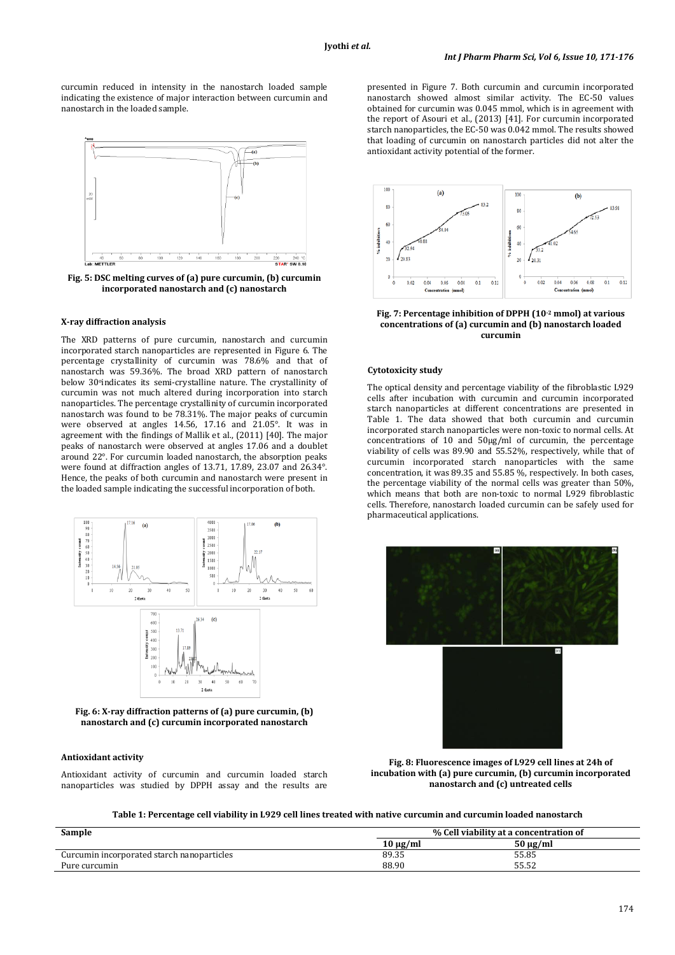curcumin reduced in intensity in the nanostarch loaded sample indicating the existence of major interaction between curcumin and nanostarch in the loaded sample.



**Fig. 5: DSC melting curves of (a) pure curcumin, (b) curcumin incorporated nanostarch and (c) nanostarch**

## **X-ray diffraction analysis**

The XRD patterns of pure curcumin, nanostarch and curcumin incorporated starch nanoparticles are represented in Figure 6. The percentage crystallinity of curcumin was 78.6% and that of nanostarch was 59.36%. The broad XRD pattern of nanostarch below 30°indicates its semi-crystalline nature. The crystallinity of curcumin was not much altered during incorporation into starch nanoparticles. The percentage crystallinity of curcumin incorporated nanostarch was found to be 78.31%. The major peaks of curcumin were observed at angles 14.56, 17.16 and 21.05°. It was in agreement with the findings of Mallik et al., (2011) [40]. The major peaks of nanostarch were observed at angles 17.06 and a doublet around 22°. For curcumin loaded nanostarch, the absorption peaks were found at diffraction angles of 13.71, 17.89, 23.07 and 26.34°. Hence, the peaks of both curcumin and nanostarch were present in the loaded sample indicating the successful incorporation of both.



**Fig. 6: X-ray diffraction patterns of (a) pure curcumin, (b) nanostarch and (c) curcumin incorporated nanostarch**

## **Antioxidant activity**

Antioxidant activity of curcumin and curcumin loaded starch nanoparticles was studied by DPPH assay and the results are presented in Figure 7. Both curcumin and curcumin incorporated nanostarch showed almost similar activity. The EC-50 values obtained for curcumin was 0.045 mmol, which is in agreement with the report of Asouri et al., (2013) [41]. For curcumin incorporated starch nanoparticles, the EC-50 was 0.042 mmol. The results showed that loading of curcumin on nanostarch particles did not alter the antioxidant activity potential of the former.



**Fig. 7: Percentage inhibition of DPPH (10-2 mmol) at various concentrations of (a) curcumin and (b) nanostarch loaded curcumin**

## **Cytotoxicity study**

The optical density and percentage viability of the fibroblastic L929 cells after incubation with curcumin and curcumin incorporated starch nanoparticles at different concentrations are presented in Table 1. The data showed that both curcumin and curcumin incorporated starch nanoparticles were non-toxic to normal cells. At concentrations of 10 and 50µg/ml of curcumin, the percentage viability of cells was 89.90 and 55.52%, respectively, while that of curcumin incorporated starch nanoparticles with the same concentration, it was 89.35 and 55.85 %, respectively. In both cases, the percentage viability of the normal cells was greater than 50%, which means that both are non-toxic to normal L929 fibroblastic cells. Therefore, nanostarch loaded curcumin can be safely used for pharmaceutical applications.



**Fig. 8: Fluorescence images of L929 cell lines at 24h of incubation with (a) pure curcumin, (b) curcumin incorporated nanostarch and (c) untreated cells**

**Table 1: Percentage cell viability in L929 cell lines treated with native curcumin and curcumin loaded nanostarch**

| Sample                                     | % Cell viability at a concentration of |          |
|--------------------------------------------|----------------------------------------|----------|
|                                            | $10 \mu g/ml$                          | 50 μg/ml |
| Curcumin incorporated starch nanoparticles | 89.35                                  | 55.85    |
| Pure curcumin                              | 88.90                                  | 55.52    |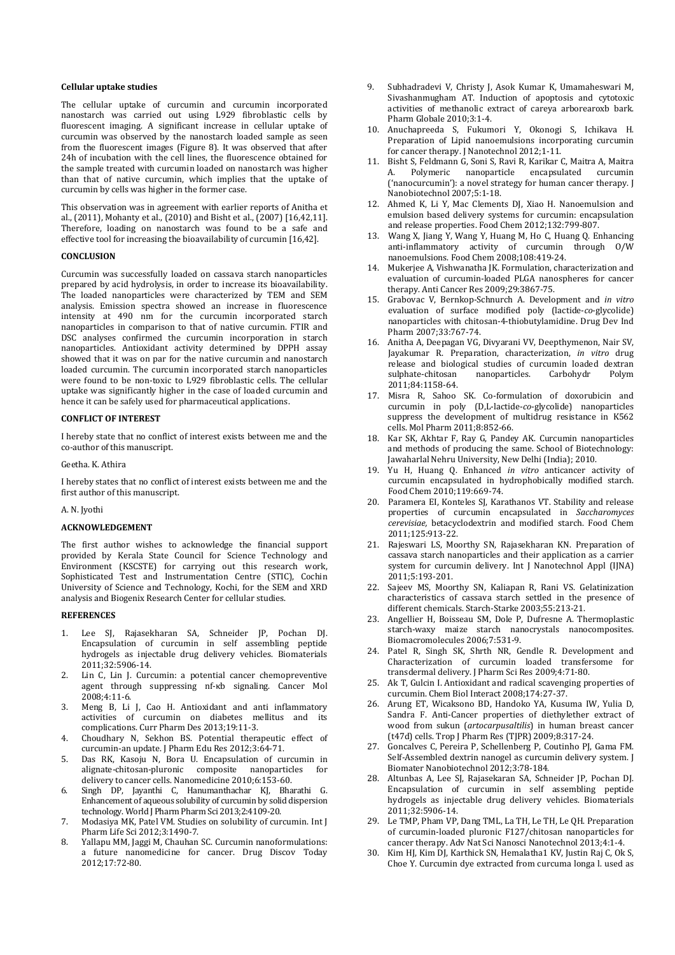### **Cellular uptake studies**

The cellular uptake of curcumin and curcumin incorporated nanostarch was carried out using L929 fibroblastic cells by fluorescent imaging. A significant increase in cellular uptake of curcumin was observed by the nanostarch loaded sample as seen from the fluorescent images (Figure 8). It was observed that after 24h of incubation with the cell lines, the fluorescence obtained for the sample treated with curcumin loaded on nanostarch was higher than that of native curcumin, which implies that the uptake of curcumin by cells was higher in the former case.

This observation was in agreement with earlier reports of Anitha et al., (2011), Mohanty et al., (2010) and Bisht et al., (2007) [16,42,11]. Therefore, loading on nanostarch was found to be a safe and effective tool for increasing the bioavailability of curcumin [16,42].

## **CONCLUSION**

Curcumin was successfully loaded on cassava starch nanoparticles prepared by acid hydrolysis, in order to increase its bioavailability. The loaded nanoparticles were characterized by TEM and SEM analysis. Emission spectra showed an increase in fluorescence intensity at 490 nm for the curcumin incorporated starch nanoparticles in comparison to that of native curcumin. FTIR and DSC analyses confirmed the curcumin incorporation in starch nanoparticles. Antioxidant activity determined by DPPH assay showed that it was on par for the native curcumin and nanostarch loaded curcumin. The curcumin incorporated starch nanoparticles were found to be non-toxic to L929 fibroblastic cells. The cellular uptake was significantly higher in the case of loaded curcumin and hence it can be safely used for pharmaceutical applications.

## **CONFLICT OF INTEREST**

I hereby state that no conflict of interest exists between me and the co-author of this manuscript.

Geetha. K. Athira

I hereby states that no conflict of interest exists between me and the first author of this manuscript.

A. N. Jyothi

## **ACKNOWLEDGEMENT**

The first author wishes to acknowledge the financial support provided by Kerala State Council for Science Technology and Environment (KSCSTE) for carrying out this research work, Sophisticated Test and Instrumentation Centre (STIC), Cochin University of Science and Technology, Kochi, for the SEM and XRD analysis and Biogenix Research Center for cellular studies.

### **REFERENCES**

- 1. Lee SJ, Rajasekharan SA, Schneider JP, Pochan DJ. Encapsulation of curcumin in self assembling peptide hydrogels as injectable drug delivery vehicles. Biomaterials 2011;32:5906-14.
- 2. Lin C, Lin J. Curcumin: a potential cancer chemopreventive agent through suppressing nf-κb signaling. Cancer Mol 2008;4:11-6.
- 3. Meng B, Li J, Cao H. Antioxidant and anti inflammatory activities of curcumin on diabetes mellitus and its complications. Curr Pharm Des 2013;19:11-3.
- 4. Choudhary N, Sekhon BS. Potential therapeutic effect of curcumin-an update. J Pharm Edu Res 2012;3:64-71.
- 5. Das RK, Kasoju N, Bora U. Encapsulation of curcumin in alignate-chitosan-pluronic composite nanoparticles delivery to cancer cells. Nanomedicine 2010;6:153-60.
- 6. Singh DP, Jayanthi C, Hanumanthachar KJ, Bharathi G. Enhancement of aqueous solubility of curcumin by solid dispersion technology. World J Pharm Pharm Sci 2013;2:4109-20.
- 7. Modasiya MK, Patel VM. Studies on solubility of curcumin. Int J Pharm Life Sci 2012;3:1490-7.
- 8. Yallapu MM, Jaggi M, Chauhan SC. Curcumin nanoformulations: a future nanomedicine for cancer. Drug Discov Today 2012;17:72-80.
- 9. Subhadradevi V, Christy J, Asok Kumar K, Umamaheswari M, Sivashanmugham AT. Induction of apoptosis and cytotoxic activities of methanolic extract of careya arborearoxb bark. Pharm Globale 2010;3:1-4.
- 10. Anuchapreeda S, Fukumori Y, Okonogi S, Ichikava H. Preparation of Lipid nanoemulsions incorporating curcumin for cancer therapy. J Nanotechnol 2012;1-11.
- 11. Bisht S, Feldmann G, Soni S, Ravi R, Karikar C, Maitra A, Maitra Polymeric nanoparticle ('nanocurcumin'): a novel strategy for human cancer therapy. J Nanobiotechnol 2007;5:1-18.
- 12. Ahmed K, Li Y, Mac Clements DJ, Xiao H. Nanoemulsion and emulsion based delivery systems for curcumin: encapsulation and release properties. Food Chem 2012;132:799-807.
- 13. Wang X, Jiang Y, Wang Y, Huang M, Ho C, Huang Q. Enhancing anti-inflammatory activity of curcumin through O/W nanoemulsions. Food Chem 2008;108:419-24.
- 14. Mukerjee A, Vishwanatha JK. Formulation, characterization and evaluation of curcumin-loaded PLGA nanospheres for cancer therapy. Anti Cancer Res 2009;29:3867-75.
- 15. Grabovac V, Bernkop-Schnurch A. Development and *in vitro* evaluation of surface modified poly (lactide-*co*-glycolide) nanoparticles with chitosan-4-thiobutylamidine. Drug Dev Ind Pharm 2007;33:767-74.
- 16. Anitha A, Deepagan VG, Divyarani VV, Deepthymenon, Nair SV, Jayakumar R. Preparation, characterization, *in vitro* drug release and biological studies of curcumin loaded dextran<br>sulphate-chitosan manoparticles. Carbohydr Polym nanoparticles. 2011;84:1158-64.
- 17. Misra R, Sahoo SK. Co-formulation of doxorubicin and curcumin in poly (D,L-lactide-*co*-glycolide) nanoparticles suppress the development of multidrug resistance in K562 cells. Mol Pharm 2011;8:852-66.
- 18. Kar SK, Akhtar F, Ray G, Pandey AK. Curcumin nanoparticles and methods of producing the same. School of Biotechnology: Jawaharlal Nehru University, New Delhi (India); 2010.
- 19. Yu H, Huang Q. Enhanced *in vitro* anticancer activity of curcumin encapsulated in hydrophobically modified starch. Food Chem 2010;119:669-74.
- 20. Paramera EI, Konteles SJ, Karathanos VT. Stability and release properties of curcumin encapsulated in *Saccharomyces cerevisiae,* betacyclodextrin and modified starch. Food Chem 2011;125:913-22.
- 21. Rajeswari LS, Moorthy SN, Rajasekharan KN. Preparation of cassava starch nanoparticles and their application as a carrier system for curcumin delivery. Int J Nanotechnol Appl (IJNA) 2011;5:193-201.
- 22. Sajeev MS, Moorthy SN, Kaliapan R, Rani VS. Gelatinization characteristics of cassava starch settled in the presence of different chemicals. Starch-Starke 2003;55:213-21.
- 23. Angellier H, Boisseau SM, Dole P, Dufresne A. Thermoplastic starch-waxy maize starch nanocrystals nanocomposites. Biomacromolecules 2006;7:531-9.
- 24. Patel R, Singh SK, Shrth NR, Gendle R. Development and Characterization of curcumin loaded transfersome for transdermal delivery. J Pharm Sci Res 2009;4:71-80.
- 25. Ak T, Gulcin I. Antioxidant and radical scavenging properties of curcumin. Chem Biol Interact 2008;174:27-37.
- 26. Arung ET, Wicaksono BD, Handoko YA, Kusuma IW, Yulia D, Sandra F. Anti-Cancer properties of diethylether extract of wood from sukun (*artocarpusaltilis*) in human breast cancer (t47d) cells. Trop J Pharm Res (TJPR) 2009;8:317-24.
- 27. Goncalves C, Pereira P, Schellenberg P, Coutinho PJ, Gama FM. Self-Assembled dextrin nanogel as curcumin delivery system. J Biomater Nanobiotechnol 2012;3:78-184.
- 28. Altunbas A, Lee SJ, Rajasekaran SA, Schneider JP, Pochan DJ. Encapsulation of curcumin in self assembling peptide hydrogels as injectable drug delivery vehicles. Biomaterials 2011;32:5906-14.
- 29. Le TMP, Pham VP, Dang TML, La TH, Le TH, Le QH. Preparation of curcumin-loaded pluronic F127/chitosan nanoparticles for cancer therapy. Adv Nat Sci Nanosci Nanotechnol 2013;4:1-4.
- 30. Kim HJ, Kim DJ, Karthick SN, Hemalatha1 KV, Justin Raj C, Ok S, Choe Y. Curcumin dye extracted from curcuma longa l. used as